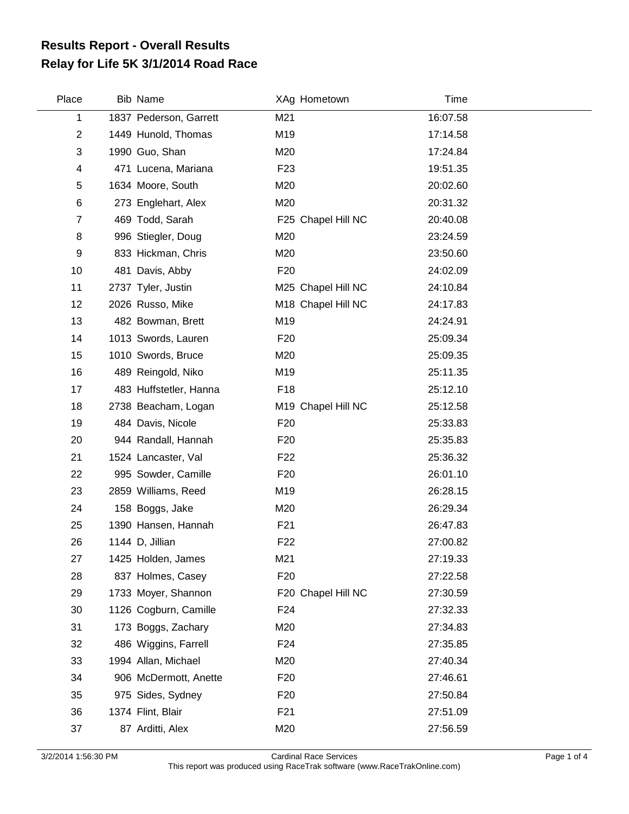## **Relay for Life 5K 3/1/2014 Road Race Results Report - Overall Results**

| Place          | <b>Bib Name</b>        |                 | XAg Hometown       | Time     |  |
|----------------|------------------------|-----------------|--------------------|----------|--|
| 1              | 1837 Pederson, Garrett | M21             |                    | 16:07.58 |  |
| $\overline{c}$ | 1449 Hunold, Thomas    | M19             |                    | 17:14.58 |  |
| 3              | 1990 Guo, Shan         | M20             |                    | 17:24.84 |  |
| 4              | 471 Lucena, Mariana    | F <sub>23</sub> |                    | 19:51.35 |  |
| 5              | 1634 Moore, South      | M20             |                    | 20:02.60 |  |
| 6              | 273 Englehart, Alex    | M20             |                    | 20:31.32 |  |
| 7              | 469 Todd, Sarah        |                 | F25 Chapel Hill NC | 20:40.08 |  |
| 8              | 996 Stiegler, Doug     | M20             |                    | 23:24.59 |  |
| 9              | 833 Hickman, Chris     | M20             |                    | 23:50.60 |  |
| 10             | 481 Davis, Abby        | F <sub>20</sub> |                    | 24:02.09 |  |
| 11             | 2737 Tyler, Justin     |                 | M25 Chapel Hill NC | 24:10.84 |  |
| 12             | 2026 Russo, Mike       |                 | M18 Chapel Hill NC | 24:17.83 |  |
| 13             | 482 Bowman, Brett      | M19             |                    | 24:24.91 |  |
| 14             | 1013 Swords, Lauren    | F <sub>20</sub> |                    | 25:09.34 |  |
| 15             | 1010 Swords, Bruce     | M20             |                    | 25:09.35 |  |
| 16             | 489 Reingold, Niko     | M19             |                    | 25:11.35 |  |
| 17             | 483 Huffstetler, Hanna | F18             |                    | 25:12.10 |  |
| 18             | 2738 Beacham, Logan    |                 | M19 Chapel Hill NC | 25:12.58 |  |
| 19             | 484 Davis, Nicole      | F <sub>20</sub> |                    | 25:33.83 |  |
| 20             | 944 Randall, Hannah    | F <sub>20</sub> |                    | 25:35.83 |  |
| 21             | 1524 Lancaster, Val    | F <sub>22</sub> |                    | 25:36.32 |  |
| 22             | 995 Sowder, Camille    | F <sub>20</sub> |                    | 26:01.10 |  |
| 23             | 2859 Williams, Reed    | M19             |                    | 26:28.15 |  |
| 24             | 158 Boggs, Jake        | M20             |                    | 26:29.34 |  |
| 25             | 1390 Hansen, Hannah    | F <sub>21</sub> |                    | 26:47.83 |  |
| 26             | 1144 D, Jillian        | F <sub>22</sub> |                    | 27:00.82 |  |
| 27             | 1425 Holden, James     | M21             |                    | 27:19.33 |  |
| 28             | 837 Holmes, Casey      | F <sub>20</sub> |                    | 27:22.58 |  |
| 29             | 1733 Moyer, Shannon    |                 | F20 Chapel Hill NC | 27:30.59 |  |
| 30             | 1126 Cogburn, Camille  | F <sub>24</sub> |                    | 27:32.33 |  |
| 31             | 173 Boggs, Zachary     | M20             |                    | 27:34.83 |  |
| 32             | 486 Wiggins, Farrell   | F <sub>24</sub> |                    | 27:35.85 |  |
| 33             | 1994 Allan, Michael    | M20             |                    | 27:40.34 |  |
| 34             | 906 McDermott, Anette  | F <sub>20</sub> |                    | 27:46.61 |  |
| 35             | 975 Sides, Sydney      | F <sub>20</sub> |                    | 27:50.84 |  |
| 36             | 1374 Flint, Blair      | F <sub>21</sub> |                    | 27:51.09 |  |
| 37             | 87 Arditti, Alex       | M20             |                    | 27:56.59 |  |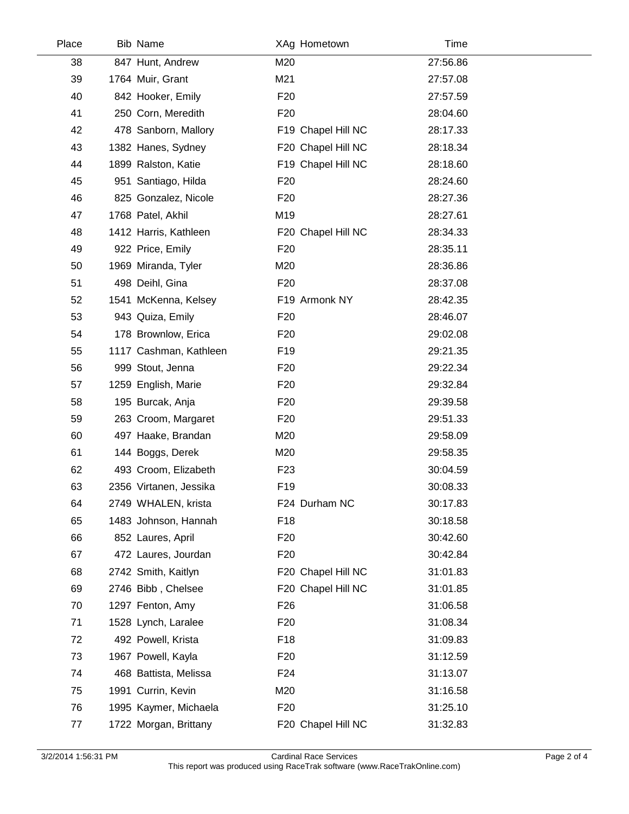| Place | <b>Bib Name</b>        |                 | XAg Hometown       | Time     |  |
|-------|------------------------|-----------------|--------------------|----------|--|
| 38    | 847 Hunt, Andrew       | M20             |                    | 27:56.86 |  |
| 39    | 1764 Muir, Grant       | M21             |                    | 27:57.08 |  |
| 40    | 842 Hooker, Emily      | F <sub>20</sub> |                    | 27:57.59 |  |
| 41    | 250 Corn, Meredith     | F <sub>20</sub> |                    | 28:04.60 |  |
| 42    | 478 Sanborn, Mallory   |                 | F19 Chapel Hill NC | 28:17.33 |  |
| 43    | 1382 Hanes, Sydney     |                 | F20 Chapel Hill NC | 28:18.34 |  |
| 44    | 1899 Ralston, Katie    |                 | F19 Chapel Hill NC | 28:18.60 |  |
| 45    | 951 Santiago, Hilda    | F <sub>20</sub> |                    | 28:24.60 |  |
| 46    | 825 Gonzalez, Nicole   | F <sub>20</sub> |                    | 28:27.36 |  |
| 47    | 1768 Patel, Akhil      | M19             |                    | 28:27.61 |  |
| 48    | 1412 Harris, Kathleen  |                 | F20 Chapel Hill NC | 28:34.33 |  |
| 49    | 922 Price, Emily       | F <sub>20</sub> |                    | 28:35.11 |  |
| 50    | 1969 Miranda, Tyler    | M20             |                    | 28:36.86 |  |
| 51    | 498 Deihl, Gina        | F <sub>20</sub> |                    | 28:37.08 |  |
| 52    | 1541 McKenna, Kelsey   |                 | F19 Armonk NY      | 28:42.35 |  |
| 53    | 943 Quiza, Emily       | F <sub>20</sub> |                    | 28:46.07 |  |
| 54    | 178 Brownlow, Erica    | F <sub>20</sub> |                    | 29:02.08 |  |
| 55    | 1117 Cashman, Kathleen | F <sub>19</sub> |                    | 29:21.35 |  |
| 56    | 999 Stout, Jenna       | F <sub>20</sub> |                    | 29:22.34 |  |
| 57    | 1259 English, Marie    | F <sub>20</sub> |                    | 29:32.84 |  |
| 58    | 195 Burcak, Anja       | F <sub>20</sub> |                    | 29:39.58 |  |
| 59    | 263 Croom, Margaret    | F <sub>20</sub> |                    | 29:51.33 |  |
| 60    | 497 Haake, Brandan     | M20             |                    | 29:58.09 |  |
| 61    | 144 Boggs, Derek       | M20             |                    | 29:58.35 |  |
| 62    | 493 Croom, Elizabeth   | F <sub>23</sub> |                    | 30:04.59 |  |
| 63    | 2356 Virtanen, Jessika | F <sub>19</sub> |                    | 30:08.33 |  |
| 64    | 2749 WHALEN, krista    |                 | F24 Durham NC      | 30:17.83 |  |
| 65    | 1483 Johnson, Hannah   | F <sub>18</sub> |                    | 30:18.58 |  |
| 66    | 852 Laures, April      | F <sub>20</sub> |                    | 30:42.60 |  |
| 67    | 472 Laures, Jourdan    | F <sub>20</sub> |                    | 30:42.84 |  |
| 68    | 2742 Smith, Kaitlyn    |                 | F20 Chapel Hill NC | 31:01.83 |  |
| 69    | 2746 Bibb, Chelsee     |                 | F20 Chapel Hill NC | 31:01.85 |  |
| 70    | 1297 Fenton, Amy       | F <sub>26</sub> |                    | 31:06.58 |  |
| 71    | 1528 Lynch, Laralee    | F <sub>20</sub> |                    | 31:08.34 |  |
| 72    | 492 Powell, Krista     | F <sub>18</sub> |                    | 31:09.83 |  |
| 73    | 1967 Powell, Kayla     | F <sub>20</sub> |                    | 31:12.59 |  |
| 74    | 468 Battista, Melissa  | F <sub>24</sub> |                    | 31:13.07 |  |
| 75    | 1991 Currin, Kevin     | M20             |                    | 31:16.58 |  |
| 76    | 1995 Kaymer, Michaela  | F <sub>20</sub> |                    | 31:25.10 |  |
| 77    | 1722 Morgan, Brittany  |                 | F20 Chapel Hill NC | 31:32.83 |  |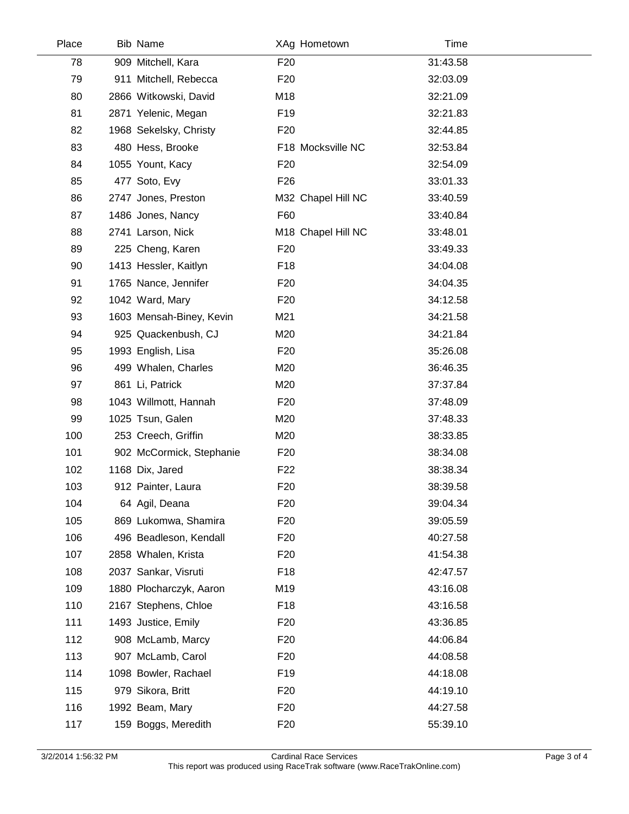| Place | Bib Name                 |                 | XAg Hometown       | Time     |  |
|-------|--------------------------|-----------------|--------------------|----------|--|
| 78    | 909 Mitchell, Kara       | F <sub>20</sub> |                    | 31:43.58 |  |
| 79    | 911 Mitchell, Rebecca    | F <sub>20</sub> |                    | 32:03.09 |  |
| 80    | 2866 Witkowski, David    | M18             |                    | 32:21.09 |  |
| 81    | 2871 Yelenic, Megan      | F <sub>19</sub> |                    | 32:21.83 |  |
| 82    | 1968 Sekelsky, Christy   | F <sub>20</sub> |                    | 32:44.85 |  |
| 83    | 480 Hess, Brooke         |                 | F18 Mocksville NC  | 32:53.84 |  |
| 84    | 1055 Yount, Kacy         | F <sub>20</sub> |                    | 32:54.09 |  |
| 85    | 477 Soto, Evy            | F <sub>26</sub> |                    | 33:01.33 |  |
| 86    | 2747 Jones, Preston      |                 | M32 Chapel Hill NC | 33:40.59 |  |
| 87    | 1486 Jones, Nancy        | F60             |                    | 33:40.84 |  |
| 88    | 2741 Larson, Nick        |                 | M18 Chapel Hill NC | 33:48.01 |  |
| 89    | 225 Cheng, Karen         | F <sub>20</sub> |                    | 33:49.33 |  |
| 90    | 1413 Hessler, Kaitlyn    | F <sub>18</sub> |                    | 34:04.08 |  |
| 91    | 1765 Nance, Jennifer     | F <sub>20</sub> |                    | 34:04.35 |  |
| 92    | 1042 Ward, Mary          | F <sub>20</sub> |                    | 34:12.58 |  |
| 93    | 1603 Mensah-Biney, Kevin | M21             |                    | 34:21.58 |  |
| 94    | 925 Quackenbush, CJ      | M20             |                    | 34:21.84 |  |
| 95    | 1993 English, Lisa       | F <sub>20</sub> |                    | 35:26.08 |  |
| 96    | 499 Whalen, Charles      | M20             |                    | 36:46.35 |  |
| 97    | 861 Li, Patrick          | M20             |                    | 37:37.84 |  |
| 98    | 1043 Willmott, Hannah    | F <sub>20</sub> |                    | 37:48.09 |  |
| 99    | 1025 Tsun, Galen         | M20             |                    | 37:48.33 |  |
| 100   | 253 Creech, Griffin      | M20             |                    | 38:33.85 |  |
| 101   | 902 McCormick, Stephanie | F <sub>20</sub> |                    | 38:34.08 |  |
| 102   | 1168 Dix, Jared          | F <sub>22</sub> |                    | 38:38.34 |  |
| 103   | 912 Painter, Laura       | F <sub>20</sub> |                    | 38:39.58 |  |
| 104   | 64 Agil, Deana           | F <sub>20</sub> |                    | 39:04.34 |  |
| 105   | 869 Lukomwa, Shamira     | F <sub>20</sub> |                    | 39:05.59 |  |
| 106   | 496 Beadleson, Kendall   | F <sub>20</sub> |                    | 40:27.58 |  |
| 107   | 2858 Whalen, Krista      | F <sub>20</sub> |                    | 41:54.38 |  |
| 108   | 2037 Sankar, Visruti     | F <sub>18</sub> |                    | 42:47.57 |  |
| 109   | 1880 Plocharczyk, Aaron  | M19             |                    | 43:16.08 |  |
| 110   | 2167 Stephens, Chloe     | F <sub>18</sub> |                    | 43:16.58 |  |
| 111   | 1493 Justice, Emily      | F <sub>20</sub> |                    | 43:36.85 |  |
| 112   | 908 McLamb, Marcy        | F <sub>20</sub> |                    | 44:06.84 |  |
| 113   | 907 McLamb, Carol        | F <sub>20</sub> |                    | 44:08.58 |  |
| 114   | 1098 Bowler, Rachael     | F <sub>19</sub> |                    | 44:18.08 |  |
| 115   | 979 Sikora, Britt        | F <sub>20</sub> |                    | 44:19.10 |  |
| 116   | 1992 Beam, Mary          | F <sub>20</sub> |                    | 44:27.58 |  |
| 117   | 159 Boggs, Meredith      | F <sub>20</sub> |                    | 55:39.10 |  |

 $\overline{\phantom{a}}$